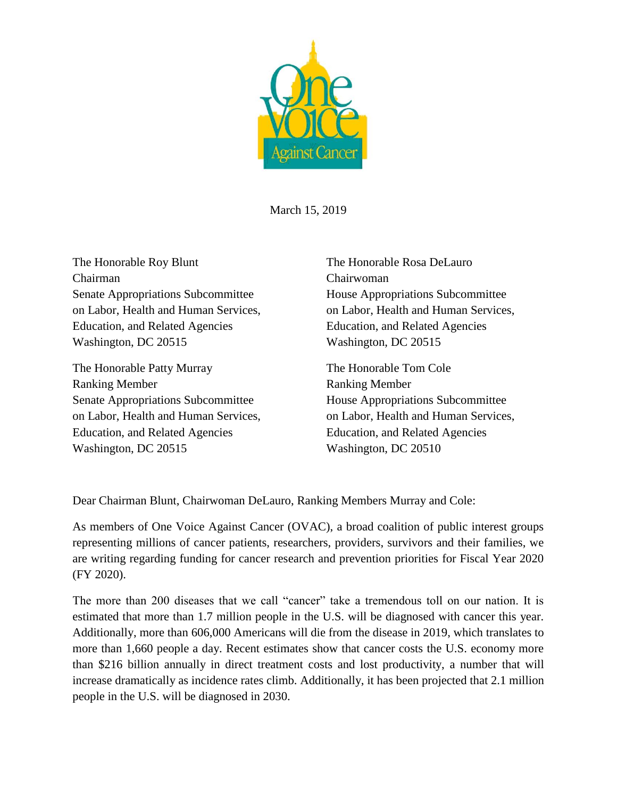

March 15, 2019

The Honorable Roy Blunt The Honorable Rosa DeLauro Chairman Chairwoman Senate Appropriations Subcommittee House Appropriations Subcommittee Education, and Related Agencies Education, and Related Agencies Washington, DC 20515 Washington, DC 20515

The Honorable Patty Murray The Honorable Tom Cole Ranking Member Ranking Member Senate Appropriations Subcommittee House Appropriations Subcommittee on Labor, Health and Human Services, on Labor, Health and Human Services, Education, and Related Agencies Education, and Related Agencies Washington, DC 20515 Washington, DC 20510

on Labor, Health and Human Services, on Labor, Health and Human Services,

Dear Chairman Blunt, Chairwoman DeLauro, Ranking Members Murray and Cole:

As members of One Voice Against Cancer (OVAC), a broad coalition of public interest groups representing millions of cancer patients, researchers, providers, survivors and their families, we are writing regarding funding for cancer research and prevention priorities for Fiscal Year 2020 (FY 2020).

The more than 200 diseases that we call "cancer" take a tremendous toll on our nation. It is estimated that more than 1.7 million people in the U.S. will be diagnosed with cancer this year. Additionally, more than 606,000 Americans will die from the disease in 2019, which translates to more than 1,660 people a day. Recent estimates show that cancer costs the U.S. economy more than \$216 billion annually in direct treatment costs and lost productivity, a number that will increase dramatically as incidence rates climb. Additionally, it has been projected that 2.1 million people in the U.S. will be diagnosed in 2030.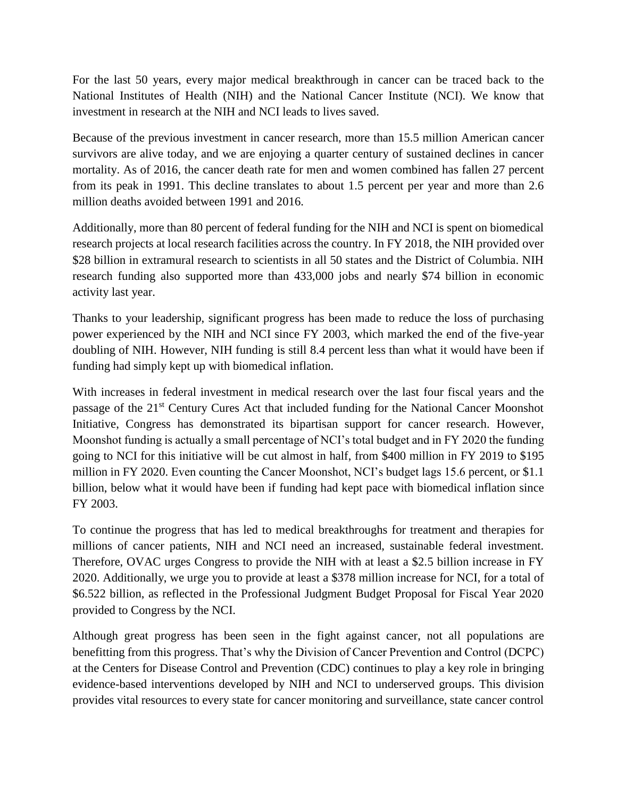For the last 50 years, every major medical breakthrough in cancer can be traced back to the National Institutes of Health (NIH) and the National Cancer Institute (NCI). We know that investment in research at the NIH and NCI leads to lives saved.

Because of the previous investment in cancer research, more than 15.5 million American cancer survivors are alive today, and we are enjoying a quarter century of sustained declines in cancer mortality. As of 2016, the cancer death rate for men and women combined has fallen 27 percent from its peak in 1991. This decline translates to about 1.5 percent per year and more than 2.6 million deaths avoided between 1991 and 2016.

Additionally, more than 80 percent of federal funding for the NIH and NCI is spent on biomedical research projects at local research facilities across the country. In FY 2018, the NIH provided over \$28 billion in extramural research to scientists in all 50 states and the District of Columbia. NIH research funding also supported more than 433,000 jobs and nearly \$74 billion in economic activity last year.

Thanks to your leadership, significant progress has been made to reduce the loss of purchasing power experienced by the NIH and NCI since FY 2003, which marked the end of the five-year doubling of NIH. However, NIH funding is still 8.4 percent less than what it would have been if funding had simply kept up with biomedical inflation.

With increases in federal investment in medical research over the last four fiscal years and the passage of the 21<sup>st</sup> Century Cures Act that included funding for the National Cancer Moonshot Initiative, Congress has demonstrated its bipartisan support for cancer research. However, Moonshot funding is actually a small percentage of NCI's total budget and in FY 2020 the funding going to NCI for this initiative will be cut almost in half, from \$400 million in FY 2019 to \$195 million in FY 2020. Even counting the Cancer Moonshot, NCI's budget lags 15.6 percent, or \$1.1 billion, below what it would have been if funding had kept pace with biomedical inflation since FY 2003.

To continue the progress that has led to medical breakthroughs for treatment and therapies for millions of cancer patients, NIH and NCI need an increased, sustainable federal investment. Therefore, OVAC urges Congress to provide the NIH with at least a \$2.5 billion increase in FY 2020. Additionally, we urge you to provide at least a \$378 million increase for NCI, for a total of \$6.522 billion, as reflected in the Professional Judgment Budget Proposal for Fiscal Year 2020 provided to Congress by the NCI.

Although great progress has been seen in the fight against cancer, not all populations are benefitting from this progress. That's why the Division of Cancer Prevention and Control (DCPC) at the Centers for Disease Control and Prevention (CDC) continues to play a key role in bringing evidence-based interventions developed by NIH and NCI to underserved groups. This division provides vital resources to every state for cancer monitoring and surveillance, state cancer control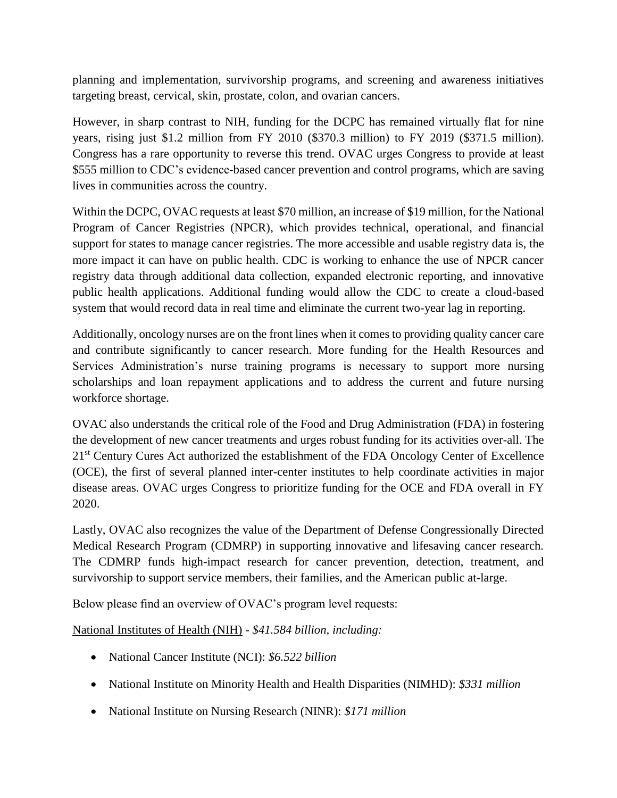planning and implementation, survivorship programs, and screening and awareness initiatives targeting breast, cervical, skin, prostate, colon, and ovarian cancers.

However, in sharp contrast to NIH, funding for the DCPC has remained virtually flat for nine years, rising just \$1.2 million from FY 2010 (\$370.3 million) to FY 2019 (\$371.5 million). Congress has a rare opportunity to reverse this trend. OVAC urges Congress to provide at least \$555 million to CDC's evidence-based cancer prevention and control programs, which are saving lives in communities across the country.

Within the DCPC, OVAC requests at least \$70 million, an increase of \$19 million, for the National Program of Cancer Registries (NPCR), which provides technical, operational, and financial support for states to manage cancer registries. The more accessible and usable registry data is, the more impact it can have on public health. CDC is working to enhance the use of NPCR cancer registry data through additional data collection, expanded electronic reporting, and innovative public health applications. Additional funding would allow the CDC to create a cloud-based system that would record data in real time and eliminate the current two-year lag in reporting.

Additionally, oncology nurses are on the front lines when it comes to providing quality cancer care and contribute significantly to cancer research. More funding for the Health Resources and Services Administration's nurse training programs is necessary to support more nursing scholarships and loan repayment applications and to address the current and future nursing workforce shortage.

OVAC also understands the critical role of the Food and Drug Administration (FDA) in fostering the development of new cancer treatments and urges robust funding for its activities over-all. The 21<sup>st</sup> Century Cures Act authorized the establishment of the FDA Oncology Center of Excellence (OCE), the first of several planned inter-center institutes to help coordinate activities in major disease areas. OVAC urges Congress to prioritize funding for the OCE and FDA overall in FY 2020.

Lastly, OVAC also recognizes the value of the Department of Defense Congressionally Directed Medical Research Program (CDMRP) in supporting innovative and lifesaving cancer research. The CDMRP funds high-impact research for cancer prevention, detection, treatment, and survivorship to support service members, their families, and the American public at-large.

Below please find an overview of OVAC's program level requests:

National Institutes of Health (NIH) - *\$41.584 billion, including:*

- National Cancer Institute (NCI): *\$6.522 billion*
- National Institute on Minority Health and Health Disparities (NIMHD): *\$331 million*
- National Institute on Nursing Research (NINR): *\$171 million*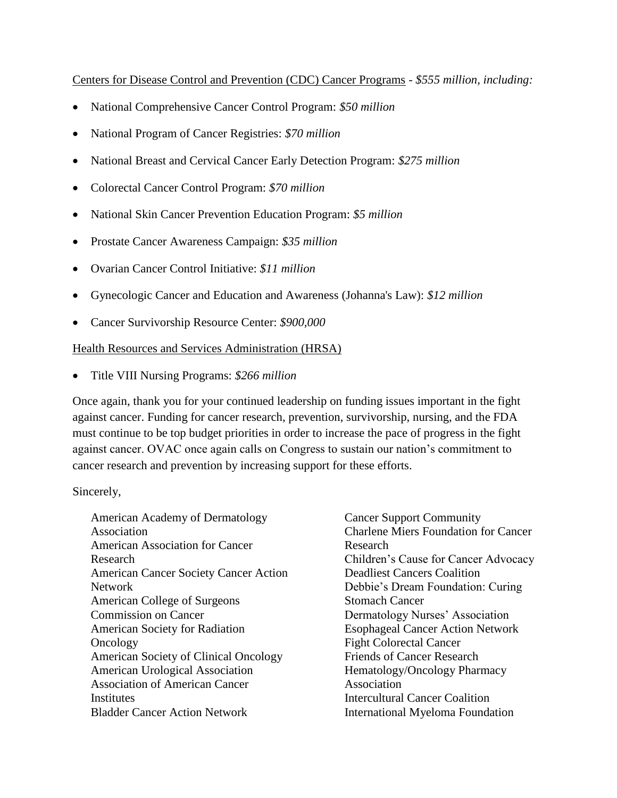Centers for Disease Control and Prevention (CDC) Cancer Programs - *\$555 million, including:*

- National Comprehensive Cancer Control Program: *\$50 million*
- National Program of Cancer Registries: *\$70 million*
- National Breast and Cervical Cancer Early Detection Program: *\$275 million*
- Colorectal Cancer Control Program: *\$70 million*
- National Skin Cancer Prevention Education Program: *\$5 million*
- Prostate Cancer Awareness Campaign: *\$35 million*
- Ovarian Cancer Control Initiative: *\$11 million*
- Gynecologic Cancer and Education and Awareness (Johanna's Law): *\$12 million*
- Cancer Survivorship Resource Center: *\$900,000*

## Health Resources and Services Administration (HRSA)

• Title VIII Nursing Programs: *\$266 million*

Once again, thank you for your continued leadership on funding issues important in the fight against cancer. Funding for cancer research, prevention, survivorship, nursing, and the FDA must continue to be top budget priorities in order to increase the pace of progress in the fight against cancer. OVAC once again calls on Congress to sustain our nation's commitment to cancer research and prevention by increasing support for these efforts.

## Sincerely,

American Academy of Dermatology Association American Association for Cancer Research American Cancer Society Cancer Action Network American College of Surgeons Commission on Cancer American Society for Radiation **Oncology** American Society of Clinical Oncology American Urological Association Association of American Cancer **Institutes** Bladder Cancer Action Network

Cancer Support Community Charlene Miers Foundation for Cancer Research Children's Cause for Cancer Advocacy Deadliest Cancers Coalition Debbie's Dream Foundation: Curing Stomach Cancer Dermatology Nurses' Association Esophageal Cancer Action Network Fight Colorectal Cancer Friends of Cancer Research Hematology/Oncology Pharmacy Association Intercultural Cancer Coalition International Myeloma Foundation